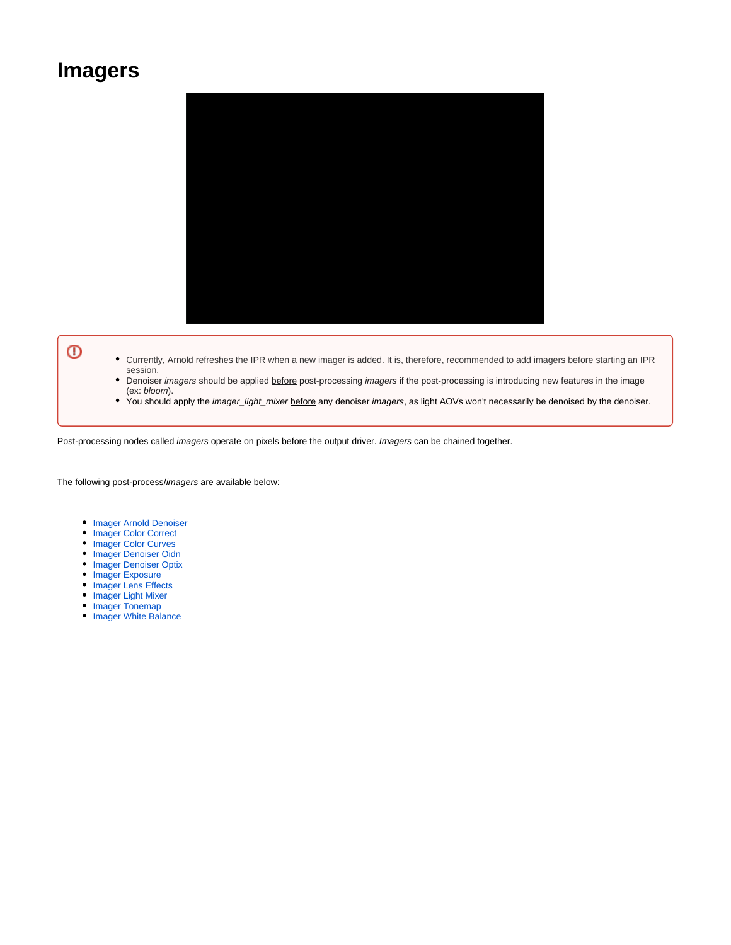## **Imagers**



## $^\copyright$

- Currently, Arnold refreshes the IPR when a new imager is added. It is, therefore, recommended to add imagers before starting an IPR session.
- $\bullet$ Denoiser imagers should be applied before post-processing imagers if the post-processing is introducing new features in the image (ex: bloom).
- You should apply the *imager\_light\_mixer before* any denoiser *imagers*, as light AOVs won't necessarily be denoised by the denoiser.

Post-processing nodes called *imagers* operate on pixels before the output driver. Imagers can be chained together.

The following post-process/imagers are available below:

- **[Imager Arnold Denoiser](https://docs.arnoldrenderer.com/display/A5KTN/Imager+Arnold+Denoiser)**
- [Imager Color Correct](https://docs.arnoldrenderer.com/display/A5KTN/Imager+Color+Correct)
- [Imager Color Curves](https://docs.arnoldrenderer.com/display/A5KTN/Imager+Color+Curves)
- **[Imager Denoiser Oidn](https://docs.arnoldrenderer.com/display/A5KTN/Imager+Denoiser+Oidn)**
- [Imager Denoiser Optix](https://docs.arnoldrenderer.com/display/A5KTN/Imager+Denoiser+Optix)
- [Imager Exposure](https://docs.arnoldrenderer.com/display/A5KTN/Imager+Exposure)
- [Imager Lens Effects](https://docs.arnoldrenderer.com/display/A5KTN/Imager+Lens+Effects)
- [Imager Light Mixer](https://docs.arnoldrenderer.com/display/A5KTN/Imager+Light+Mixer)
- [Imager Tonemap](https://docs.arnoldrenderer.com/display/A5KTN/Imager+Tonemap)
- [Imager White Balance](https://docs.arnoldrenderer.com/display/A5KTN/Imager+White+Balance)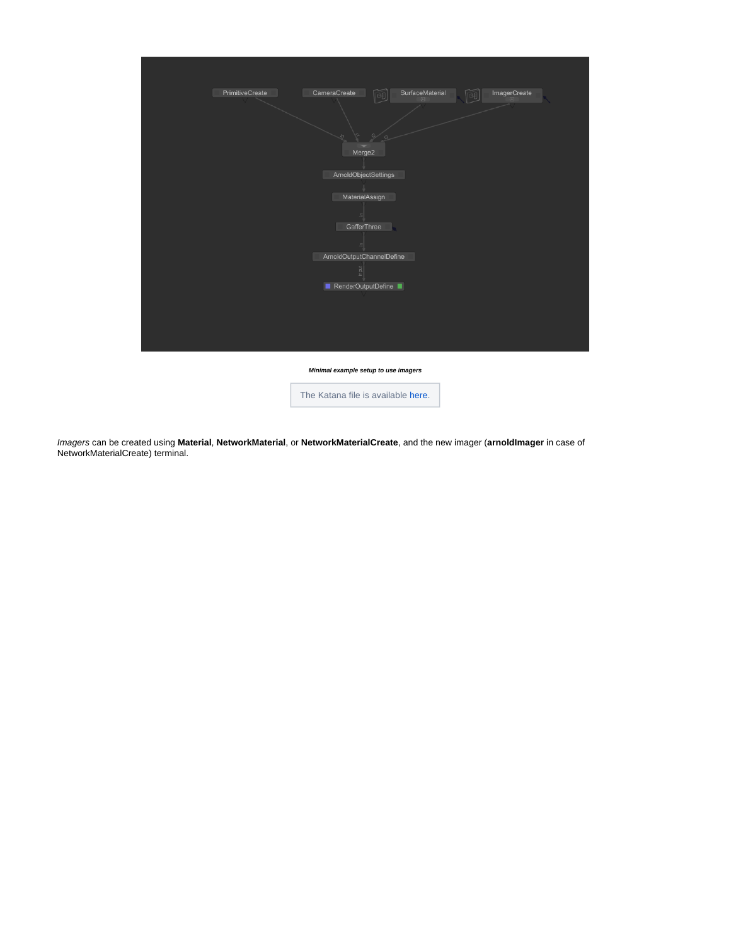

**Minimal example setup to use imagers**



Imagers can be created using **Material**, **NetworkMaterial**, or **NetworkMaterialCreate**, and the new imager (**arnoldImager** in case of NetworkMaterialCreate) terminal.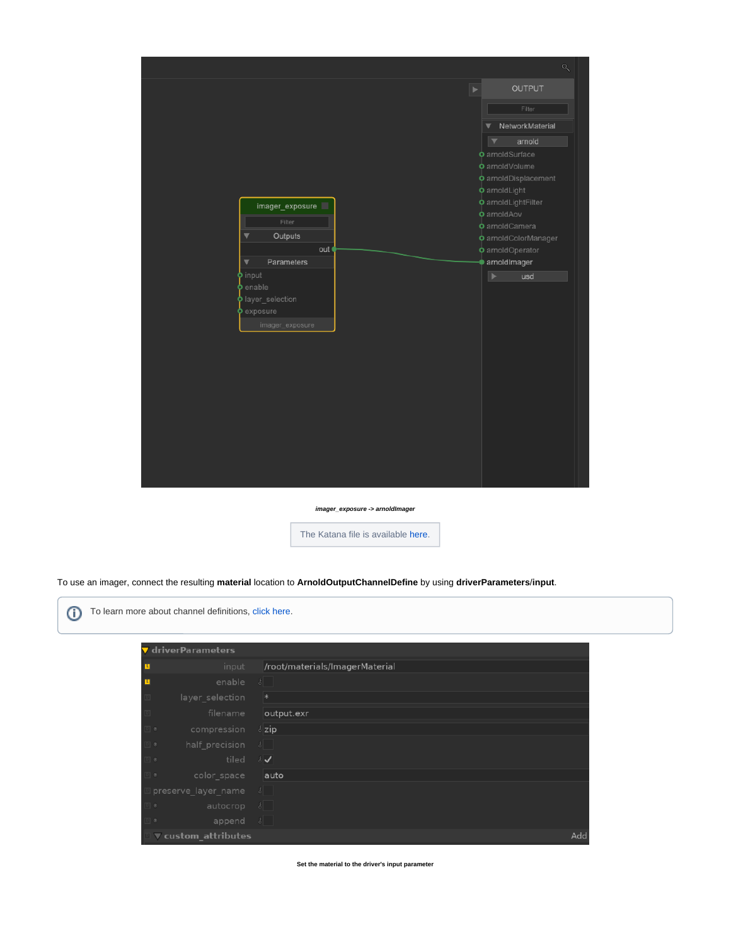

**imager\_exposure -> arnoldImager**

The Katana file is available [here](https://docs.arnoldrenderer.com/download/attachments/139591774/imager_creation.katana?version=1&modificationDate=1620901605000&api=v2).

To use an imager, connect the resulting **material** location to **ArnoldOutputChannelDefine** by using **driverParameters**/**input**.

| To learn more about channel definitions, click here. |  |
|------------------------------------------------------|--|
|------------------------------------------------------|--|

| driverParameters                       |                                |
|----------------------------------------|--------------------------------|
| input                                  | /root/materials/ImagerMaterial |
| enable                                 | $\lvert \xi \rvert$            |
| layer selection                        | $\ast$                         |
| filename                               | output.exr                     |
| compression<br>$\circ$                 | $\frac{1}{2}$ zip              |
| half precision<br>$\circledcirc$       | $\delta$                       |
| tiled<br>$\Box$                        | $5\sqrt{ }$                    |
| color space<br>$\circ$                 | auto                           |
| preserve_layer_name                    | $\left\lvert \xi \right\rvert$ |
| autocrop<br>$\circ$                    | $\left  \delta \right $        |
| append<br>$\circ$                      | $\bullet$                      |
| $\blacktriangledown$ custom_attributes | Add                            |

**Set the material to the driver's input parameter**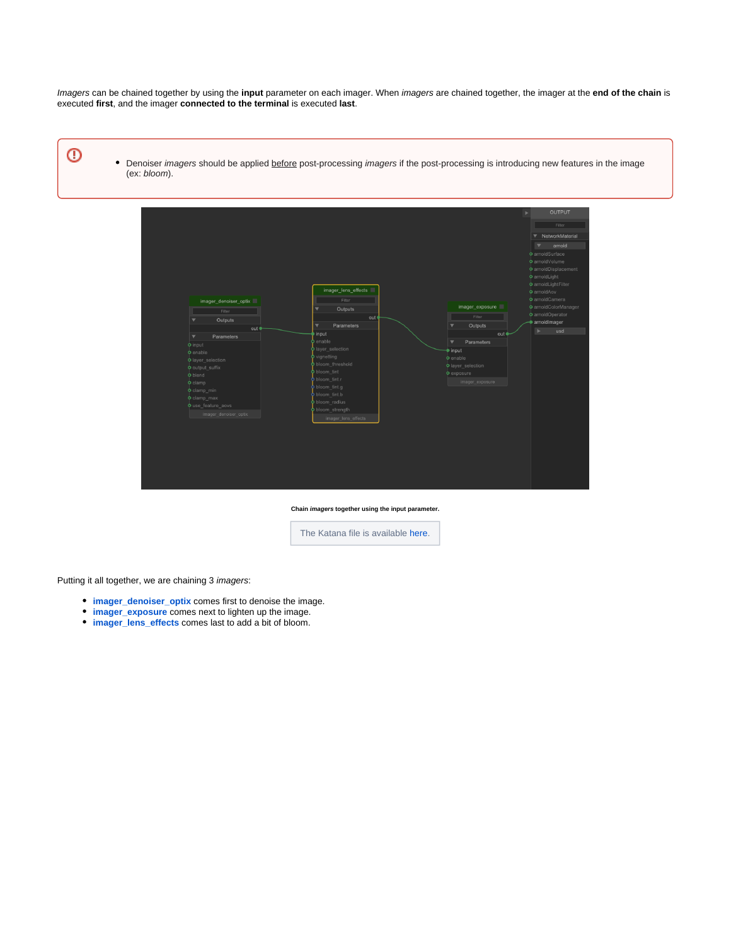Imagers can be chained together by using the **input** parameter on each imager. When imagers are chained together, the imager at the **end of the chain** is executed **first**, and the imager **connected to the terminal** is executed **last**.

- ℗
- Denoiser imagers should be applied before post-processing imagers if the post-processing is introducing new features in the image (ex: bloom).



**Chain imagers together using the input parameter.**

The Katana file is available [here](https://docs.arnoldrenderer.com/download/attachments/139591774/imager_chaining.katana?version=1&modificationDate=1620902077000&api=v2).

Putting it all together, we are chaining 3 imagers:

- *•* [imager\\_denoiser\\_optix](https://docs.arnoldrenderer.com/display/A5NodeRef/imager_denoiser_optix) comes first to denoise the image.
- **[imager\\_exposure](https://docs.arnoldrenderer.com/display/A5NodeRef/imager_exposure)** comes next to lighten up the image.
- **[imager\\_lens\\_effects](https://docs.arnoldrenderer.com/display/A5NodeRef/imager_lens_effects)** comes last to add a bit of bloom.